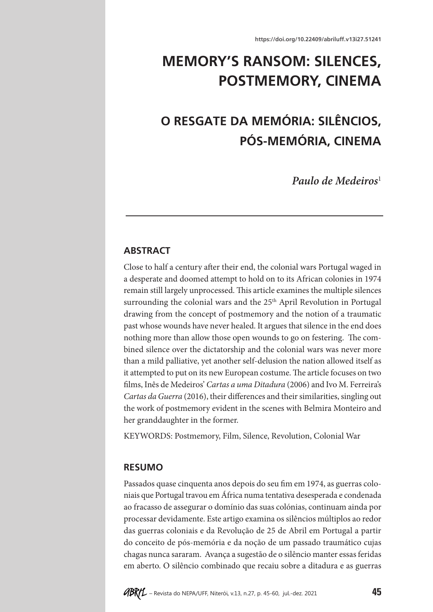## **MEMORY'S RANSOM: SILENCES, POSTMEMORY, CINEMA**

# **O RESGATE DA MEMÓRIA: SILÊNCIOS, PÓS-MEMÓRIA, CINEMA**

*Paulo de Medeiros*<sup>1</sup>

### **ABSTRACT**

Close to half a century after their end, the colonial wars Portugal waged in a desperate and doomed attempt to hold on to its African colonies in 1974 remain still largely unprocessed. This article examines the multiple silences surrounding the colonial wars and the 25<sup>th</sup> April Revolution in Portugal drawing from the concept of postmemory and the notion of a traumatic past whose wounds have never healed. It argues that silence in the end does nothing more than allow those open wounds to go on festering. The combined silence over the dictatorship and the colonial wars was never more than a mild palliative, yet another self-delusion the nation allowed itself as it attempted to put on its new European costume. The article focuses on two films, Inês de Medeiros' *Cartas a uma Ditadura* (2006) and Ivo M. Ferreira's *Cartas da Guerra* (2016), their differences and their similarities, singling out the work of postmemory evident in the scenes with Belmira Monteiro and her granddaughter in the former.

KEYWORDS: Postmemory, Film, Silence, Revolution, Colonial War

#### **RESUMO**

Passados quase cinquenta anos depois do seu fim em 1974, as guerras coloniais que Portugal travou em África numa tentativa desesperada e condenada ao fracasso de assegurar o domínio das suas colónias, continuam ainda por processar devidamente. Este artigo examina os silêncios múltiplos ao redor das guerras coloniais e da Revolução de 25 de Abril em Portugal a partir do conceito de pós-memória e da noção de um passado traumático cujas chagas nunca sararam. Avança a sugestão de o silêncio manter essas feridas em aberto. O silêncio combinado que recaiu sobre a ditadura e as guerras

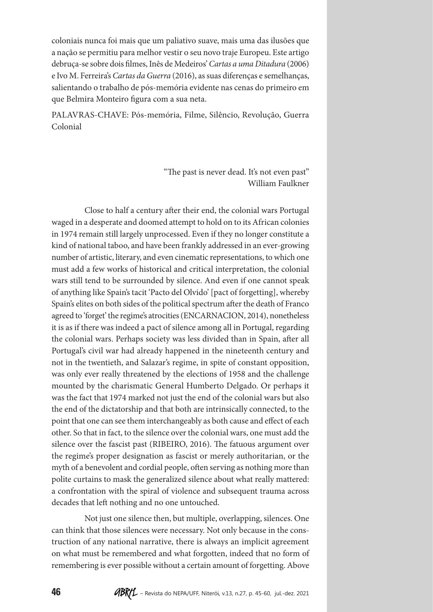coloniais nunca foi mais que um paliativo suave, mais uma das ilusões que a nação se permitiu para melhor vestir o seu novo traje Europeu. Este artigo debruça-se sobre dois filmes, Inês de Medeiros' *Cartas a uma Ditadura* (2006) e Ivo M. Ferreira's *Cartas da Guerra* (2016), as suas diferenças e semelhanças, salientando o trabalho de pós-memória evidente nas cenas do primeiro em que Belmira Monteiro figura com a sua neta.

PALAVRAS-CHAVE: Pós-memória, Filme, Silêncio, Revolução, Guerra Colonial

> "The past is never dead. It's not even past" William Faulkner

Close to half a century after their end, the colonial wars Portugal waged in a desperate and doomed attempt to hold on to its African colonies in 1974 remain still largely unprocessed. Even if they no longer constitute a kind of national taboo, and have been frankly addressed in an ever-growing number of artistic, literary, and even cinematic representations, to which one must add a few works of historical and critical interpretation, the colonial wars still tend to be surrounded by silence. And even if one cannot speak of anything like Spain's tacit 'Pacto del Olvido' [pact of forgetting], whereby Spain's elites on both sides of the political spectrum after the death of Franco agreed to 'forget' the regime's atrocities (ENCARNACION, 2014), nonetheless it is as if there was indeed a pact of silence among all in Portugal, regarding the colonial wars. Perhaps society was less divided than in Spain, after all Portugal's civil war had already happened in the nineteenth century and not in the twentieth, and Salazar's regime, in spite of constant opposition, was only ever really threatened by the elections of 1958 and the challenge mounted by the charismatic General Humberto Delgado. Or perhaps it was the fact that 1974 marked not just the end of the colonial wars but also the end of the dictatorship and that both are intrinsically connected, to the point that one can see them interchangeably as both cause and effect of each other. So that in fact, to the silence over the colonial wars, one must add the silence over the fascist past (RIBEIRO, 2016). The fatuous argument over the regime's proper designation as fascist or merely authoritarian, or the myth of a benevolent and cordial people, often serving as nothing more than polite curtains to mask the generalized silence about what really mattered: a confrontation with the spiral of violence and subsequent trauma across decades that left nothing and no one untouched.

Not just one silence then, but multiple, overlapping, silences. One can think that those silences were necessary. Not only because in the construction of any national narrative, there is always an implicit agreement on what must be remembered and what forgotten, indeed that no form of remembering is ever possible without a certain amount of forgetting. Above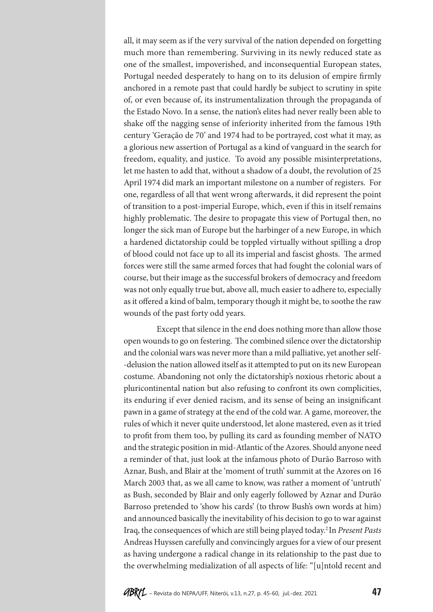all, it may seem as if the very survival of the nation depended on forgetting much more than remembering. Surviving in its newly reduced state as one of the smallest, impoverished, and inconsequential European states, Portugal needed desperately to hang on to its delusion of empire firmly anchored in a remote past that could hardly be subject to scrutiny in spite of, or even because of, its instrumentalization through the propaganda of the Estado Novo. In a sense, the nation's elites had never really been able to shake off the nagging sense of inferiority inherited from the famous 19th century 'Geração de 70' and 1974 had to be portrayed, cost what it may, as a glorious new assertion of Portugal as a kind of vanguard in the search for freedom, equality, and justice. To avoid any possible misinterpretations, let me hasten to add that, without a shadow of a doubt, the revolution of 25 April 1974 did mark an important milestone on a number of registers. For one, regardless of all that went wrong afterwards, it did represent the point of transition to a post-imperial Europe, which, even if this in itself remains highly problematic. The desire to propagate this view of Portugal then, no longer the sick man of Europe but the harbinger of a new Europe, in which a hardened dictatorship could be toppled virtually without spilling a drop of blood could not face up to all its imperial and fascist ghosts. The armed forces were still the same armed forces that had fought the colonial wars of course, but their image as the successful brokers of democracy and freedom was not only equally true but, above all, much easier to adhere to, especially as it offered a kind of balm, temporary though it might be, to soothe the raw wounds of the past forty odd years.

Except that silence in the end does nothing more than allow those open wounds to go on festering. The combined silence over the dictatorship and the colonial wars was never more than a mild palliative, yet another self- -delusion the nation allowed itself as it attempted to put on its new European costume. Abandoning not only the dictatorship's noxious rhetoric about a pluricontinental nation but also refusing to confront its own complicities, its enduring if ever denied racism, and its sense of being an insignificant pawn in a game of strategy at the end of the cold war. A game, moreover, the rules of which it never quite understood, let alone mastered, even as it tried to profit from them too, by pulling its card as founding member of NATO and the strategic position in mid-Atlantic of the Azores. Should anyone need a reminder of that, just look at the infamous photo of Durão Barroso with Aznar, Bush, and Blair at the 'moment of truth' summit at the Azores on 16 March 2003 that, as we all came to know, was rather a moment of 'untruth' as Bush, seconded by Blair and only eagerly followed by Aznar and Durão Barroso pretended to 'show his cards' (to throw Bush's own words at him) and announced basically the inevitability of his decision to go to war against Iraq, the consequences of which are still being played today.2 In *Present Pasts* Andreas Huyssen carefully and convincingly argues for a view of our present as having undergone a radical change in its relationship to the past due to the overwhelming medialization of all aspects of life: "[u]ntold recent and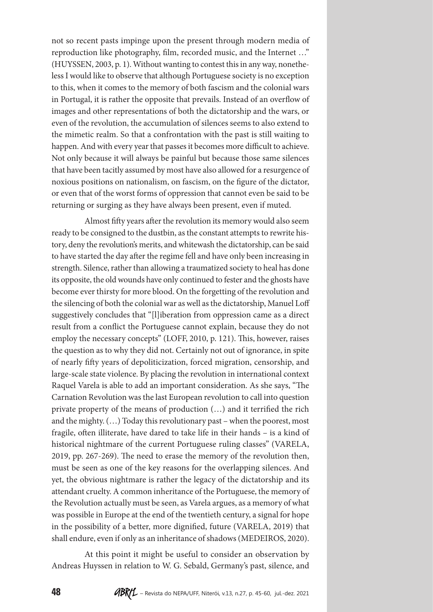not so recent pasts impinge upon the present through modern media of reproduction like photography, film, recorded music, and the Internet …" (HUYSSEN, 2003, p. 1). Without wanting to contest this in any way, nonetheless I would like to observe that although Portuguese society is no exception to this, when it comes to the memory of both fascism and the colonial wars in Portugal, it is rather the opposite that prevails. Instead of an overflow of images and other representations of both the dictatorship and the wars, or even of the revolution, the accumulation of silences seems to also extend to the mimetic realm. So that a confrontation with the past is still waiting to happen. And with every year that passes it becomes more difficult to achieve. Not only because it will always be painful but because those same silences that have been tacitly assumed by most have also allowed for a resurgence of noxious positions on nationalism, on fascism, on the figure of the dictator, or even that of the worst forms of oppression that cannot even be said to be returning or surging as they have always been present, even if muted.

Almost fifty years after the revolution its memory would also seem ready to be consigned to the dustbin, as the constant attempts to rewrite history, deny the revolution's merits, and whitewash the dictatorship, can be said to have started the day after the regime fell and have only been increasing in strength. Silence, rather than allowing a traumatized society to heal has done its opposite, the old wounds have only continued to fester and the ghosts have become ever thirsty for more blood. On the forgetting of the revolution and the silencing of both the colonial war as well as the dictatorship, Manuel Loff suggestively concludes that "[l]iberation from oppression came as a direct result from a conflict the Portuguese cannot explain, because they do not employ the necessary concepts" (LOFF, 2010, p. 121). This, however, raises the question as to why they did not. Certainly not out of ignorance, in spite of nearly fifty years of depoliticization, forced migration, censorship, and large-scale state violence. By placing the revolution in international context Raquel Varela is able to add an important consideration. As she says, "The Carnation Revolution was the last European revolution to call into question private property of the means of production (…) and it terrified the rich and the mighty. (…) Today this revolutionary past – when the poorest, most fragile, often illiterate, have dared to take life in their hands – is a kind of historical nightmare of the current Portuguese ruling classes" (VARELA, 2019, pp. 267-269). The need to erase the memory of the revolution then, must be seen as one of the key reasons for the overlapping silences. And yet, the obvious nightmare is rather the legacy of the dictatorship and its attendant cruelty. A common inheritance of the Portuguese, the memory of the Revolution actually must be seen, as Varela argues, as a memory of what was possible in Europe at the end of the twentieth century, a signal for hope in the possibility of a better, more dignified, future (VARELA, 2019) that shall endure, even if only as an inheritance of shadows (MEDEIROS, 2020).

At this point it might be useful to consider an observation by Andreas Huyssen in relation to W. G. Sebald, Germany's past, silence, and

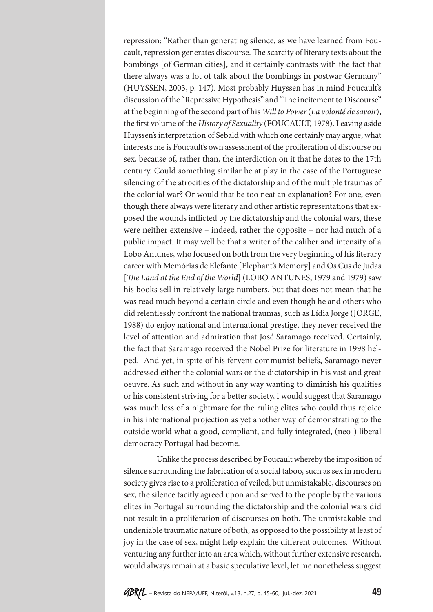repression: "Rather than generating silence, as we have learned from Foucault, repression generates discourse. The scarcity of literary texts about the bombings [of German cities], and it certainly contrasts with the fact that there always was a lot of talk about the bombings in postwar Germany" (HUYSSEN, 2003, p. 147). Most probably Huyssen has in mind Foucault's discussion of the "Repressive Hypothesis" and "The incitement to Discourse" at the beginning of the second part of his *Will to Power* (*La volonté de savoir*), the first volume of the *History of Sexuality* (FOUCAULT, 1978). Leaving aside Huyssen's interpretation of Sebald with which one certainly may argue, what interests me is Foucault's own assessment of the proliferation of discourse on sex, because of, rather than, the interdiction on it that he dates to the 17th century. Could something similar be at play in the case of the Portuguese silencing of the atrocities of the dictatorship and of the multiple traumas of the colonial war? Or would that be too neat an explanation? For one, even though there always were literary and other artistic representations that exposed the wounds inflicted by the dictatorship and the colonial wars, these were neither extensive – indeed, rather the opposite – nor had much of a public impact. It may well be that a writer of the caliber and intensity of a Lobo Antunes, who focused on both from the very beginning of his literary career with Memórias de Elefante [Elephant's Memory] and Os Cus de Judas [*The Land at the End of the World*] (LOBO ANTUNES, 1979 and 1979) saw his books sell in relatively large numbers, but that does not mean that he was read much beyond a certain circle and even though he and others who did relentlessly confront the national traumas, such as Lídia Jorge (JORGE, 1988) do enjoy national and international prestige, they never received the level of attention and admiration that José Saramago received. Certainly, the fact that Saramago received the Nobel Prize for literature in 1998 helped. And yet, in spite of his fervent communist beliefs, Saramago never addressed either the colonial wars or the dictatorship in his vast and great oeuvre. As such and without in any way wanting to diminish his qualities or his consistent striving for a better society, I would suggest that Saramago was much less of a nightmare for the ruling elites who could thus rejoice in his international projection as yet another way of demonstrating to the outside world what a good, compliant, and fully integrated, (neo-) liberal democracy Portugal had become.

Unlike the process described by Foucault whereby the imposition of silence surrounding the fabrication of a social taboo, such as sex in modern society gives rise to a proliferation of veiled, but unmistakable, discourses on sex, the silence tacitly agreed upon and served to the people by the various elites in Portugal surrounding the dictatorship and the colonial wars did not result in a proliferation of discourses on both. The unmistakable and undeniable traumatic nature of both, as opposed to the possibility at least of joy in the case of sex, might help explain the different outcomes. Without venturing any further into an area which, without further extensive research, would always remain at a basic speculative level, let me nonetheless suggest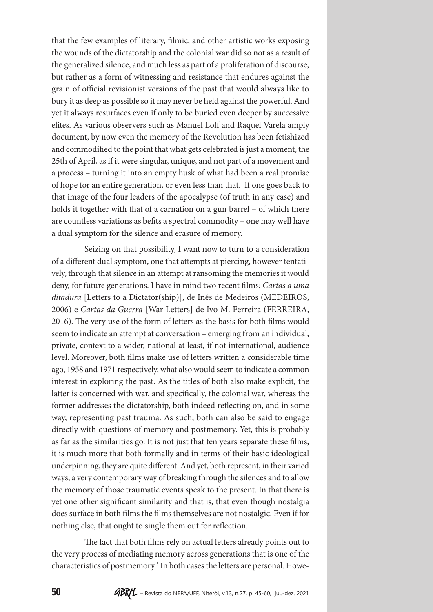that the few examples of literary, filmic, and other artistic works exposing the wounds of the dictatorship and the colonial war did so not as a result of the generalized silence, and much less as part of a proliferation of discourse, but rather as a form of witnessing and resistance that endures against the grain of official revisionist versions of the past that would always like to bury it as deep as possible so it may never be held against the powerful. And yet it always resurfaces even if only to be buried even deeper by successive elites. As various observers such as Manuel Loff and Raquel Varela amply document, by now even the memory of the Revolution has been fetishized and commodified to the point that what gets celebrated is just a moment, the 25th of April, as if it were singular, unique, and not part of a movement and a process – turning it into an empty husk of what had been a real promise of hope for an entire generation, or even less than that. If one goes back to that image of the four leaders of the apocalypse (of truth in any case) and holds it together with that of a carnation on a gun barrel – of which there are countless variations as befits a spectral commodity – one may well have a dual symptom for the silence and erasure of memory.

Seizing on that possibility, I want now to turn to a consideration of a different dual symptom, one that attempts at piercing, however tentatively, through that silence in an attempt at ransoming the memories it would deny, for future generations. I have in mind two recent films*: Cartas a uma ditadura* [Letters to a Dictator(ship)], de Inês de Medeiros (MEDEIROS, 2006) e *Cartas da Guerra* [War Letters] de Ivo M. Ferreira (FERREIRA, 2016). The very use of the form of letters as the basis for both films would seem to indicate an attempt at conversation – emerging from an individual, private, context to a wider, national at least, if not international, audience level. Moreover, both films make use of letters written a considerable time ago, 1958 and 1971 respectively, what also would seem to indicate a common interest in exploring the past. As the titles of both also make explicit, the latter is concerned with war, and specifically, the colonial war, whereas the former addresses the dictatorship, both indeed reflecting on, and in some way, representing past trauma. As such, both can also be said to engage directly with questions of memory and postmemory. Yet, this is probably as far as the similarities go. It is not just that ten years separate these films, it is much more that both formally and in terms of their basic ideological underpinning, they are quite different. And yet, both represent, in their varied ways, a very contemporary way of breaking through the silences and to allow the memory of those traumatic events speak to the present. In that there is yet one other significant similarity and that is, that even though nostalgia does surface in both films the films themselves are not nostalgic. Even if for nothing else, that ought to single them out for reflection.

The fact that both films rely on actual letters already points out to the very process of mediating memory across generations that is one of the characteristics of postmemory.3 In both cases the letters are personal. Howe-

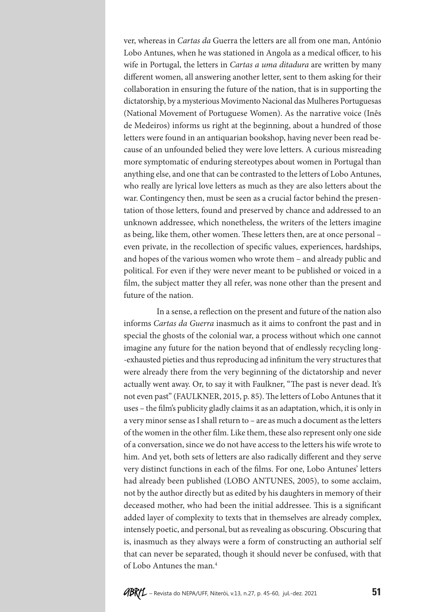ver, whereas in *Cartas da* Guerra the letters are all from one man, António Lobo Antunes, when he was stationed in Angola as a medical officer, to his wife in Portugal, the letters in *Cartas a uma ditadura* are written by many different women, all answering another letter, sent to them asking for their collaboration in ensuring the future of the nation, that is in supporting the dictatorship, by a mysterious Movimento Nacional das Mulheres Portuguesas (National Movement of Portuguese Women). As the narrative voice (Inês de Medeiros) informs us right at the beginning, about a hundred of those letters were found in an antiquarian bookshop, having never been read because of an unfounded belied they were love letters. A curious misreading more symptomatic of enduring stereotypes about women in Portugal than anything else, and one that can be contrasted to the letters of Lobo Antunes, who really are lyrical love letters as much as they are also letters about the war. Contingency then, must be seen as a crucial factor behind the presentation of those letters, found and preserved by chance and addressed to an unknown addressee, which nonetheless, the writers of the letters imagine as being, like them, other women. These letters then, are at once personal – even private, in the recollection of specific values, experiences, hardships, and hopes of the various women who wrote them – and already public and political. For even if they were never meant to be published or voiced in a film, the subject matter they all refer, was none other than the present and future of the nation.

In a sense, a reflection on the present and future of the nation also informs *Cartas da Guerra* inasmuch as it aims to confront the past and in special the ghosts of the colonial war, a process without which one cannot imagine any future for the nation beyond that of endlessly recycling long- -exhausted pieties and thus reproducing ad infinitum the very structures that were already there from the very beginning of the dictatorship and never actually went away. Or, to say it with Faulkner, "The past is never dead. It's not even past" (FAULKNER, 2015, p. 85). The letters of Lobo Antunes that it uses – the film's publicity gladly claims it as an adaptation, which, it is only in a very minor sense as I shall return to – are as much a document as the letters of the women in the other film. Like them, these also represent only one side of a conversation, since we do not have access to the letters his wife wrote to him. And yet, both sets of letters are also radically different and they serve very distinct functions in each of the films. For one, Lobo Antunes' letters had already been published (LOBO ANTUNES, 2005), to some acclaim, not by the author directly but as edited by his daughters in memory of their deceased mother, who had been the initial addressee. This is a significant added layer of complexity to texts that in themselves are already complex, intensely poetic, and personal, but as revealing as obscuring. Obscuring that is, inasmuch as they always were a form of constructing an authorial self that can never be separated, though it should never be confused, with that of Lobo Antunes the man.4

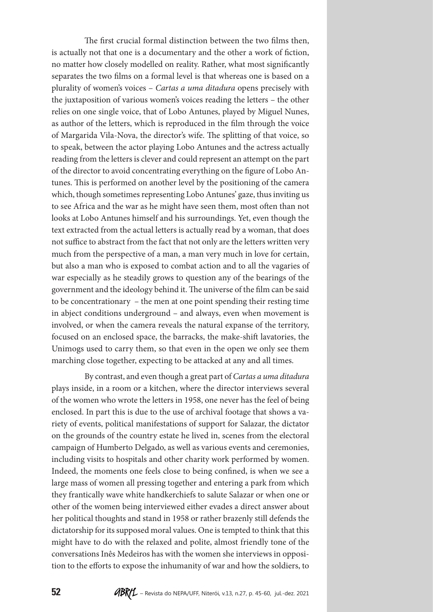The first crucial formal distinction between the two films then, is actually not that one is a documentary and the other a work of fiction, no matter how closely modelled on reality. Rather, what most significantly separates the two films on a formal level is that whereas one is based on a plurality of women's voices – *Cartas a uma ditadura* opens precisely with the juxtaposition of various women's voices reading the letters – the other relies on one single voice, that of Lobo Antunes, played by Miguel Nunes, as author of the letters, which is reproduced in the film through the voice of Margarida Vila-Nova, the director's wife. The splitting of that voice, so to speak, between the actor playing Lobo Antunes and the actress actually reading from the letters is clever and could represent an attempt on the part of the director to avoid concentrating everything on the figure of Lobo Antunes. This is performed on another level by the positioning of the camera which, though sometimes representing Lobo Antunes' gaze, thus inviting us to see Africa and the war as he might have seen them, most often than not looks at Lobo Antunes himself and his surroundings. Yet, even though the text extracted from the actual letters is actually read by a woman, that does not suffice to abstract from the fact that not only are the letters written very much from the perspective of a man, a man very much in love for certain, but also a man who is exposed to combat action and to all the vagaries of war especially as he steadily grows to question any of the bearings of the government and the ideology behind it. The universe of the film can be said to be concentrationary – the men at one point spending their resting time in abject conditions underground – and always, even when movement is involved, or when the camera reveals the natural expanse of the territory, focused on an enclosed space, the barracks, the make-shift lavatories, the Unimogs used to carry them, so that even in the open we only see them marching close together, expecting to be attacked at any and all times.

By contrast, and even though a great part of *Cartas a uma ditadura* plays inside, in a room or a kitchen, where the director interviews several of the women who wrote the letters in 1958, one never has the feel of being enclosed. In part this is due to the use of archival footage that shows a variety of events, political manifestations of support for Salazar, the dictator on the grounds of the country estate he lived in, scenes from the electoral campaign of Humberto Delgado, as well as various events and ceremonies, including visits to hospitals and other charity work performed by women. Indeed, the moments one feels close to being confined, is when we see a large mass of women all pressing together and entering a park from which they frantically wave white handkerchiefs to salute Salazar or when one or other of the women being interviewed either evades a direct answer about her political thoughts and stand in 1958 or rather brazenly still defends the dictatorship for its supposed moral values. One is tempted to think that this might have to do with the relaxed and polite, almost friendly tone of the conversations Inês Medeiros has with the women she interviews in opposition to the efforts to expose the inhumanity of war and how the soldiers, to

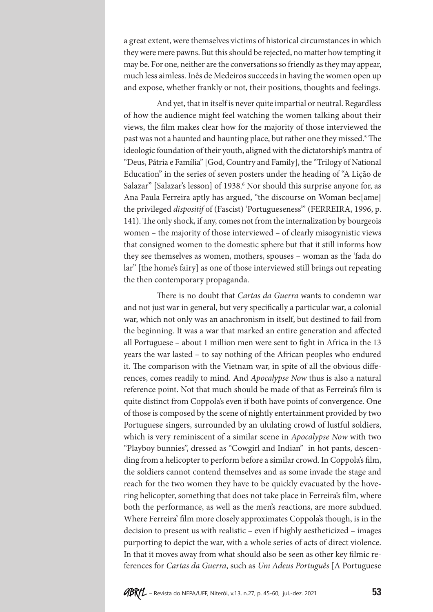a great extent, were themselves victims of historical circumstances in which they were mere pawns. But this should be rejected, no matter how tempting it may be. For one, neither are the conversations so friendly as they may appear, much less aimless. Inês de Medeiros succeeds in having the women open up and expose, whether frankly or not, their positions, thoughts and feelings.

And yet, that in itself is never quite impartial or neutral. Regardless of how the audience might feel watching the women talking about their views, the film makes clear how for the majority of those interviewed the past was not a haunted and haunting place, but rather one they missed.<sup>5</sup> The ideologic foundation of their youth, aligned with the dictatorship's mantra of "Deus, Pátria e Família" [God, Country and Family], the "Trilogy of National Education" in the series of seven posters under the heading of "A Lição de Salazar" [Salazar's lesson] of 1938.<sup>6</sup> Nor should this surprise anyone for, as Ana Paula Ferreira aptly has argued, "the discourse on Woman bec[ame] the privileged *dispositif* of (Fascist) 'Portugueseness'" (FERREIRA, 1996, p. 141). The only shock, if any, comes not from the internalization by bourgeois women – the majority of those interviewed – of clearly misogynistic views that consigned women to the domestic sphere but that it still informs how they see themselves as women, mothers, spouses – woman as the 'fada do lar" [the home's fairy] as one of those interviewed still brings out repeating the then contemporary propaganda.

There is no doubt that *Cartas da Guerra* wants to condemn war and not just war in general, but very specifically a particular war, a colonial war, which not only was an anachronism in itself, but destined to fail from the beginning. It was a war that marked an entire generation and affected all Portuguese – about 1 million men were sent to fight in Africa in the 13 years the war lasted – to say nothing of the African peoples who endured it. The comparison with the Vietnam war, in spite of all the obvious differences, comes readily to mind. And *Apocalypse Now* thus is also a natural reference point. Not that much should be made of that as Ferreira's film is quite distinct from Coppola's even if both have points of convergence. One of those is composed by the scene of nightly entertainment provided by two Portuguese singers, surrounded by an ululating crowd of lustful soldiers, which is very reminiscent of a similar scene in *Apocalypse Now* with two "Playboy bunnies", dressed as "Cowgirl and Indian" in hot pants, descending from a helicopter to perform before a similar crowd. In Coppola's film, the soldiers cannot contend themselves and as some invade the stage and reach for the two women they have to be quickly evacuated by the hovering helicopter, something that does not take place in Ferreira's film, where both the performance, as well as the men's reactions, are more subdued. Where Ferreira' film more closely approximates Coppola's though, is in the decision to present us with realistic – even if highly aestheticized – images purporting to depict the war, with a whole series of acts of direct violence. In that it moves away from what should also be seen as other key filmic references for *Cartas da Guerra*, such as *Um Adeus Português* [A Portuguese

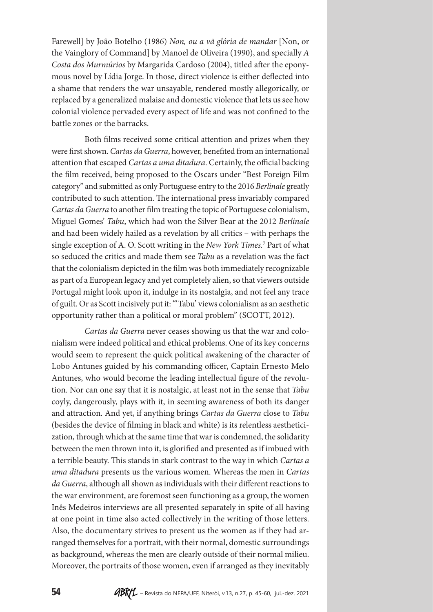Farewell] by João Botelho (1986) *Non, ou a vã glória de mandar* [Non, or the Vainglory of Command] by Manoel de Oliveira (1990), and specially *A Costa dos Murmúrios* by Margarida Cardoso (2004), titled after the eponymous novel by Lídia Jorge. In those, direct violence is either deflected into a shame that renders the war unsayable, rendered mostly allegorically, or replaced by a generalized malaise and domestic violence that lets us see how colonial violence pervaded every aspect of life and was not confined to the battle zones or the barracks.

Both films received some critical attention and prizes when they were first shown. *Cartas da Guerra*, however, benefited from an international attention that escaped *Cartas a uma ditadura*. Certainly, the official backing the film received, being proposed to the Oscars under "Best Foreign Film category" and submitted as only Portuguese entry to the 2016 *Berlinale* greatly contributed to such attention. The international press invariably compared *Cartas da Guerra* to another film treating the topic of Portuguese colonialism, Miguel Gomes' *Tabu*, which had won the Silver Bear at the 2012 *Berlinale* and had been widely hailed as a revelation by all critics – with perhaps the single exception of A. O. Scott writing in the *New York Times.*<sup>7</sup> Part of what so seduced the critics and made them see *Tabu* as a revelation was the fact that the colonialism depicted in the film was both immediately recognizable as part of a European legacy and yet completely alien, so that viewers outside Portugal might look upon it, indulge in its nostalgia, and not feel any trace of guilt. Or as Scott incisively put it: "'Tabu' views colonialism as an aesthetic opportunity rather than a political or moral problem" (SCOTT, 2012).

*Cartas da Guerra* never ceases showing us that the war and colonialism were indeed political and ethical problems. One of its key concerns would seem to represent the quick political awakening of the character of Lobo Antunes guided by his commanding officer, Captain Ernesto Melo Antunes, who would become the leading intellectual figure of the revolution. Nor can one say that it is nostalgic, at least not in the sense that *Tabu* coyly, dangerously, plays with it, in seeming awareness of both its danger and attraction. And yet, if anything brings *Cartas da Guerra* close to *Tabu* (besides the device of filming in black and white) is its relentless aestheticization, through which at the same time that war is condemned, the solidarity between the men thrown into it, is glorified and presented as if imbued with a terrible beauty. This stands in stark contrast to the way in which *Cartas a uma ditadura* presents us the various women. Whereas the men in *Cartas da Guerra*, although all shown as individuals with their different reactions to the war environment, are foremost seen functioning as a group, the women Inês Medeiros interviews are all presented separately in spite of all having at one point in time also acted collectively in the writing of those letters. Also, the documentary strives to present us the women as if they had arranged themselves for a portrait, with their normal, domestic surroundings as background, whereas the men are clearly outside of their normal milieu. Moreover, the portraits of those women, even if arranged as they inevitably

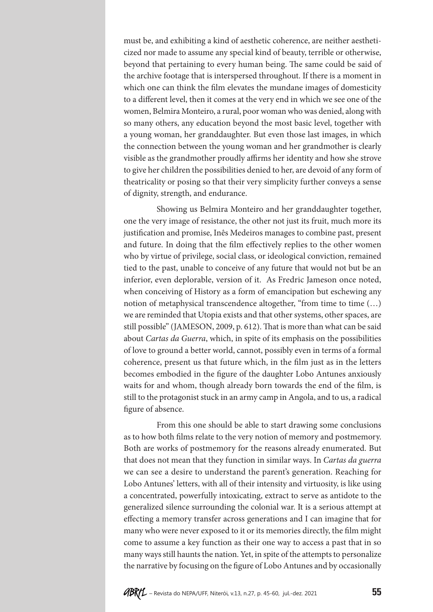must be, and exhibiting a kind of aesthetic coherence, are neither aestheticized nor made to assume any special kind of beauty, terrible or otherwise, beyond that pertaining to every human being. The same could be said of the archive footage that is interspersed throughout. If there is a moment in which one can think the film elevates the mundane images of domesticity to a different level, then it comes at the very end in which we see one of the women, Belmira Monteiro, a rural, poor woman who was denied, along with so many others, any education beyond the most basic level, together with a young woman, her granddaughter. But even those last images, in which the connection between the young woman and her grandmother is clearly visible as the grandmother proudly affirms her identity and how she strove to give her children the possibilities denied to her, are devoid of any form of theatricality or posing so that their very simplicity further conveys a sense of dignity, strength, and endurance.

Showing us Belmira Monteiro and her granddaughter together, one the very image of resistance, the other not just its fruit, much more its justification and promise, Inês Medeiros manages to combine past, present and future. In doing that the film effectively replies to the other women who by virtue of privilege, social class, or ideological conviction, remained tied to the past, unable to conceive of any future that would not but be an inferior, even deplorable, version of it. As Fredric Jameson once noted, when conceiving of History as a form of emancipation but eschewing any notion of metaphysical transcendence altogether, "from time to time (…) we are reminded that Utopia exists and that other systems, other spaces, are still possible" (JAMESON, 2009, p. 612). That is more than what can be said about *Cartas da Guerra*, which, in spite of its emphasis on the possibilities of love to ground a better world, cannot, possibly even in terms of a formal coherence, present us that future which, in the film just as in the letters becomes embodied in the figure of the daughter Lobo Antunes anxiously waits for and whom, though already born towards the end of the film, is still to the protagonist stuck in an army camp in Angola, and to us, a radical figure of absence.

From this one should be able to start drawing some conclusions as to how both films relate to the very notion of memory and postmemory. Both are works of postmemory for the reasons already enumerated. But that does not mean that they function in similar ways. In *Cartas da guerra* we can see a desire to understand the parent's generation. Reaching for Lobo Antunes' letters, with all of their intensity and virtuosity, is like using a concentrated, powerfully intoxicating, extract to serve as antidote to the generalized silence surrounding the colonial war. It is a serious attempt at effecting a memory transfer across generations and I can imagine that for many who were never exposed to it or its memories directly, the film might come to assume a key function as their one way to access a past that in so many ways still haunts the nation. Yet, in spite of the attempts to personalize the narrative by focusing on the figure of Lobo Antunes and by occasionally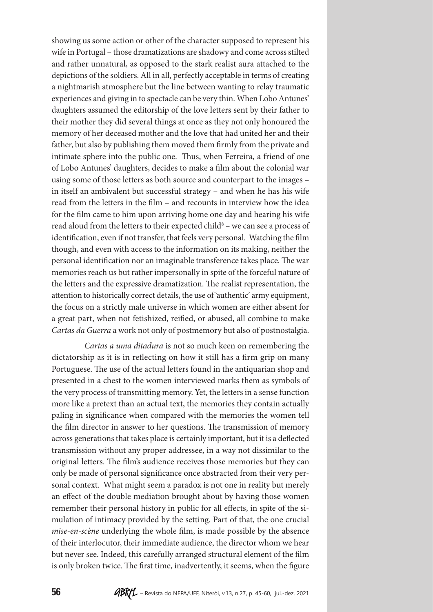showing us some action or other of the character supposed to represent his wife in Portugal – those dramatizations are shadowy and come across stilted and rather unnatural, as opposed to the stark realist aura attached to the depictions of the soldiers. All in all, perfectly acceptable in terms of creating a nightmarish atmosphere but the line between wanting to relay traumatic experiences and giving in to spectacle can be very thin. When Lobo Antunes' daughters assumed the editorship of the love letters sent by their father to their mother they did several things at once as they not only honoured the memory of her deceased mother and the love that had united her and their father, but also by publishing them moved them firmly from the private and intimate sphere into the public one. Thus, when Ferreira, a friend of one of Lobo Antunes' daughters, decides to make a film about the colonial war using some of those letters as both source and counterpart to the images – in itself an ambivalent but successful strategy – and when he has his wife read from the letters in the film – and recounts in interview how the idea for the film came to him upon arriving home one day and hearing his wife read aloud from the letters to their expected child<sup>8</sup> – we can see a process of identification, even if not transfer, that feels very personal. Watching the film though, and even with access to the information on its making, neither the personal identification nor an imaginable transference takes place. The war memories reach us but rather impersonally in spite of the forceful nature of the letters and the expressive dramatization. The realist representation, the attention to historically correct details, the use of 'authentic' army equipment, the focus on a strictly male universe in which women are either absent for a great part, when not fetishized, reified, or abused, all combine to make *Cartas da Guerra* a work not only of postmemory but also of postnostalgia.

*Cartas a uma ditadura* is not so much keen on remembering the dictatorship as it is in reflecting on how it still has a firm grip on many Portuguese. The use of the actual letters found in the antiquarian shop and presented in a chest to the women interviewed marks them as symbols of the very process of transmitting memory. Yet, the letters in a sense function more like a pretext than an actual text, the memories they contain actually paling in significance when compared with the memories the women tell the film director in answer to her questions. The transmission of memory across generations that takes place is certainly important, but it is a deflected transmission without any proper addressee, in a way not dissimilar to the original letters. The film's audience receives those memories but they can only be made of personal significance once abstracted from their very personal context. What might seem a paradox is not one in reality but merely an effect of the double mediation brought about by having those women remember their personal history in public for all effects, in spite of the simulation of intimacy provided by the setting. Part of that, the one crucial *mise-en-scène* underlying the whole film, is made possible by the absence of their interlocutor, their immediate audience, the director whom we hear but never see. Indeed, this carefully arranged structural element of the film is only broken twice. The first time, inadvertently, it seems, when the figure

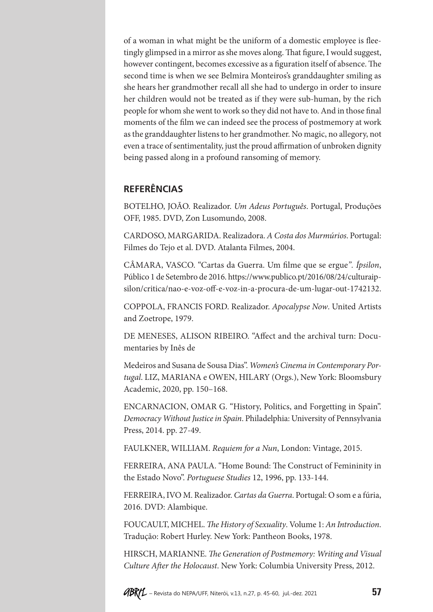of a woman in what might be the uniform of a domestic employee is fleetingly glimpsed in a mirror as she moves along. That figure, I would suggest, however contingent, becomes excessive as a figuration itself of absence. The second time is when we see Belmira Monteiros's granddaughter smiling as she hears her grandmother recall all she had to undergo in order to insure her children would not be treated as if they were sub-human, by the rich people for whom she went to work so they did not have to. And in those final moments of the film we can indeed see the process of postmemory at work as the granddaughter listens to her grandmother. No magic, no allegory, not even a trace of sentimentality, just the proud affirmation of unbroken dignity being passed along in a profound ransoming of memory.

### **REFERÊNCIAS**

BOTELHO, JOÃO. Realizador. *Um Adeus Português*. Portugal, Produções OFF, 1985. DVD, Zon Lusomundo, 2008.

CARDOSO, MARGARIDA. Realizadora. *A Costa dos Murmúrios*. Portugal: Filmes do Tejo et al. DVD. Atalanta Filmes, 2004.

CÂMARA, VASCO. "Cartas da Guerra. Um filme que se ergue*". Ípsilon*, Público 1 de Setembro de 2016. https://www.publico.pt/2016/08/24/culturaipsilon/critica/nao-e-voz-off-e-voz-in-a-procura-de-um-lugar-out-1742132.

COPPOLA, FRANCIS FORD. Realizador. *Apocalypse Now*. United Artists and Zoetrope, 1979.

DE MENESES, ALISON RIBEIRO. "Affect and the archival turn: Documentaries by Inês de

Medeiros and Susana de Sousa Dias". *Women's Cinema in Contemporary Portugal*. LIZ, MARIANA e OWEN, HILARY (Orgs.), New York: Bloomsbury Academic, 2020, pp. 150–168.

ENCARNACION, OMAR G. "History, Politics, and Forgetting in Spain". *Democracy Without Justice in Spain*. Philadelphia: University of Pennsylvania Press, 2014. pp. 27-49.

FAULKNER, WILLIAM. *Requiem for a Nun*, London: Vintage, 2015.

FERREIRA, ANA PAULA. "Home Bound: The Construct of Femininity in the Estado Novo". *Portuguese Studies* 12, 1996, pp. 133-144.

FERREIRA, IVO M. Realizador. *Cartas da Guerra*. Portugal: O som e a fúria, 2016. DVD: Alambique.

FOUCAULT, MICHEL. *The History of Sexuality*. Volume 1: *An Introduction*. Tradução: Robert Hurley. New York: Pantheon Books, 1978.

HIRSCH, MARIANNE. *The Generation of Postmemory: Writing and Visual Culture After the Holocaust*. New York: Columbia University Press, 2012.

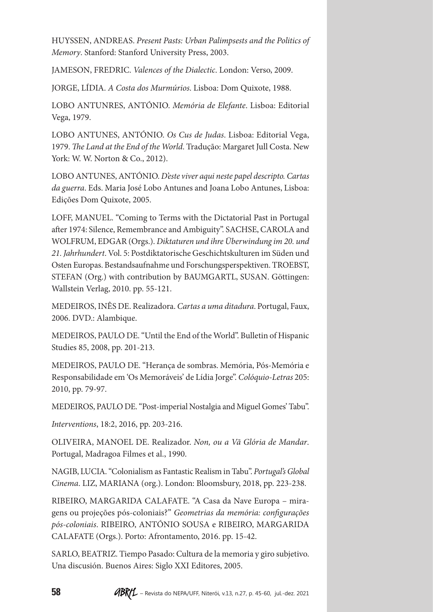HUYSSEN, ANDREAS. *Present Pasts: Urban Palimpsests and the Politics of Memory*. Stanford: Stanford University Press, 2003.

JAMESON, FREDRIC. *Valences of the Dialectic*. London: Verso, 2009.

JORGE, LÍDIA. *A Costa dos Murmúrios*. Lisboa: Dom Quixote, 1988.

LOBO ANTUNRES, ANTÓNIO. *Memória de Elefante*. Lisboa: Editorial Vega, 1979.

LOBO ANTUNES, ANTÓNIO. *Os Cus de Judas*. Lisboa: Editorial Vega, 1979. *The Land at the End of the World*. Tradução: Margaret Jull Costa. New York: W. W. Norton & Co., 2012).

LOBO ANTUNES, ANTÓNIO. *D'este viver aqui neste papel descripto. Cartas da guerra*. Eds. Maria José Lobo Antunes and Joana Lobo Antunes, Lisboa: Edições Dom Quixote, 2005.

LOFF, MANUEL. "Coming to Terms with the Dictatorial Past in Portugal after 1974: Silence, Remembrance and Ambiguity". SACHSE, CAROLA and WOLFRUM, EDGAR (Orgs.). *Diktaturen und ihre Überwindung im 20. und 21. Jahrhundert*. Vol. 5: Postdiktatorische Geschichtskulturen im Süden und Osten Europas. Bestandsaufnahme und Forschungsperspektiven. TROEBST, STEFAN (Org.) with contribution by BAUMGARTL, SUSAN. Göttingen: Wallstein Verlag, 2010. pp. 55-121.

MEDEIROS, INÊS DE. Realizadora. *Cartas a uma ditadura*. Portugal, Faux, 2006. DVD.: Alambique.

MEDEIROS, PAULO DE. "Until the End of the World". Bulletin of Hispanic Studies 85, 2008, pp. 201-213.

MEDEIROS, PAULO DE. "Herança de sombras. Memória, Pós-Memória e Responsabilidade em 'Os Memoráveis' de Lídia Jorge". *Colóquio-Letras* 205: 2010, pp. 79-97.

MEDEIROS, PAULO DE. "Post-imperial Nostalgia and Miguel Gomes' Tabu".

*Interventions*, 18:2, 2016, pp. 203-216.

OLIVEIRA, MANOEL DE. Realizador. *Non, ou a Vã Glória de Mandar*. Portugal, Madragoa Filmes et al., 1990.

NAGIB, LUCIA. "Colonialism as Fantastic Realism in Tabu". *Portugal's Global Cinema*. LIZ, MARIANA (org.). London: Bloomsbury, 2018, pp. 223-238.

RIBEIRO, MARGARIDA CALAFATE. "A Casa da Nave Europa – miragens ou projeções pós-coloniais?" *Geometrias da memória: configurações pós-coloniais*. RIBEIRO, ANTÓNIO SOUSA e RIBEIRO, MARGARIDA CALAFATE (Orgs.). Porto: Afrontamento, 2016. pp. 15-42.

SARLO, BEATRIZ. Tiempo Pasado: Cultura de la memoria y giro subjetivo. Una discusión. Buenos Aires: Siglo XXI Editores, 2005.

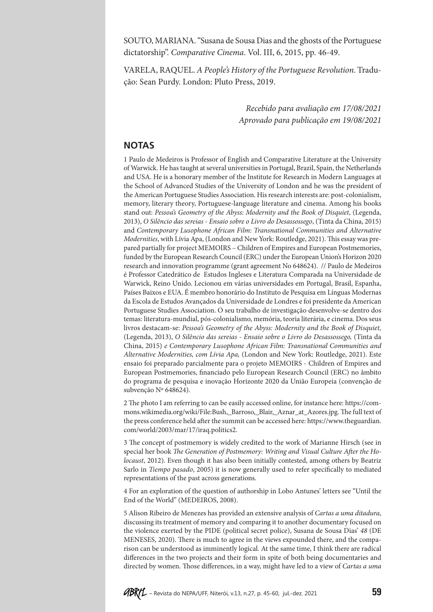SOUTO, MARIANA. "Susana de Sousa Dias and the ghosts of the Portuguese dictatorship". *Comparative Cinema*. Vol. III, 6, 2015, pp. 46-49.

VARELA, RAQUEL. *A People's History of the Portuguese Revolution*. Tradução: Sean Purdy. London: Pluto Press, 2019.

> *Recebido para avaliação em 17/08/2021 Aprovado para publicação em 19/08/2021*

#### **NOTAS**

1 Paulo de Medeiros is Professor of English and Comparative Literature at the University of Warwick. He has taught at several universities in Portugal, Brazil, Spain, the Netherlands and USA. He is a honorary member of the Institute for Research in Modern Languages at the School of Advanced Studies of the University of London and he was the president of the American Portuguese Studies Association. His research interests are: post-colonialism, memory, literary theory, Portuguese-language literature and cinema. Among his books stand out: *Pessoa's Geometry of the Abyss: Modernity and the Book of Disquiet*, (Legenda, 2013), *O Silêncio das sereias - Ensaio sobre o Livro do Desassossego*, (Tinta da China, 2015) and *Contemporary Lusophone African Film: Transnational Communities and Alternative Modernities*, with Lívia Apa, (London and New York: Routledge, 2021). This essay was prepared partially for project MEMOIRS – Children of Empires and European Postmemories, funded by the European Research Council (ERC) under the European Union's Horizon 2020 research and innovation programme (grant agreement No 648624). // Paulo de Medeiros é Professor Catedrático de Estudos Ingleses e Literatura Comparada na Universidade de Warwick, Reino Unido. Lecionou em várias universidades em Portugal, Brasil, Espanha, Países Baixos e EUA. É membro honorário do Instituto de Pesquisa em Línguas Modernas da Escola de Estudos Avançados da Universidade de Londres e foi presidente da American Portuguese Studies Association. O seu trabalho de investigação desenvolve-se dentro dos temas: literatura-mundial, pós-colonialismo, memória, teoria literária, e cinema. Dos seus livros destacam-se: *Pessoa's Geometry of the Abyss: Modernity and the Book of Disquiet,*  (Legenda, 2013), *O Silêncio das sereias - Ensaio sobre o Livro do Desassossego,* (Tinta da China, 2015) *e Contemporary Lusophone African Film: Transnational Communities and Alternative Modernities, com Lívia Apa,* (London and New York: Routledge, 2021). Este ensaio foi preparado parcialmente para o projeto MEMOIRS - Children of Empires and European Postmemories, financiado pelo European Research Council (ERC) no âmbito do programa de pesquisa e inovação Horizonte 2020 da União Europeia (convenção de subvenção Nº 648624).

2 The photo I am referring to can be easily accessed online, for instance here: https://commons.wikimedia.org/wiki/File:Bush,\_Barroso,\_Blair,\_Aznar\_at\_Azores.jpg. The full text of the press conference held after the summit can be accessed here: https://www.theguardian. com/world/2003/mar/17/iraq.politics2.

3 The concept of postmemory is widely credited to the work of Marianne Hirsch (see in special her book *The Generation of Postmemory: Writing and Visual Culture After the Holocaust*, 2012). Even though it has also been initially contested, among others by Beatriz Sarlo in *Tiempo pasado*, 2005) it is now generally used to refer specifically to mediated representations of the past across generations.

4 For an exploration of the question of authorship in Lobo Antunes' letters see "Until the End of the World" (MEDEIROS, 2008).

5 Alison Ribeiro de Menezes has provided an extensive analysis of *Cartas a uma ditadura*, discussing its treatment of memory and comparing it to another documentary focused on the violence exerted by the PIDE (political secret police), Susana de Sousa Dias' *48* (DE MENESES, 2020). There is much to agree in the views expounded there, and the comparison can be understood as imminently logical. At the same time, I think there are radical differences in the two projects and their form in spite of both being documentaries and directed by women. Those differences, in a way, might have led to a view of *Cartas a uma*